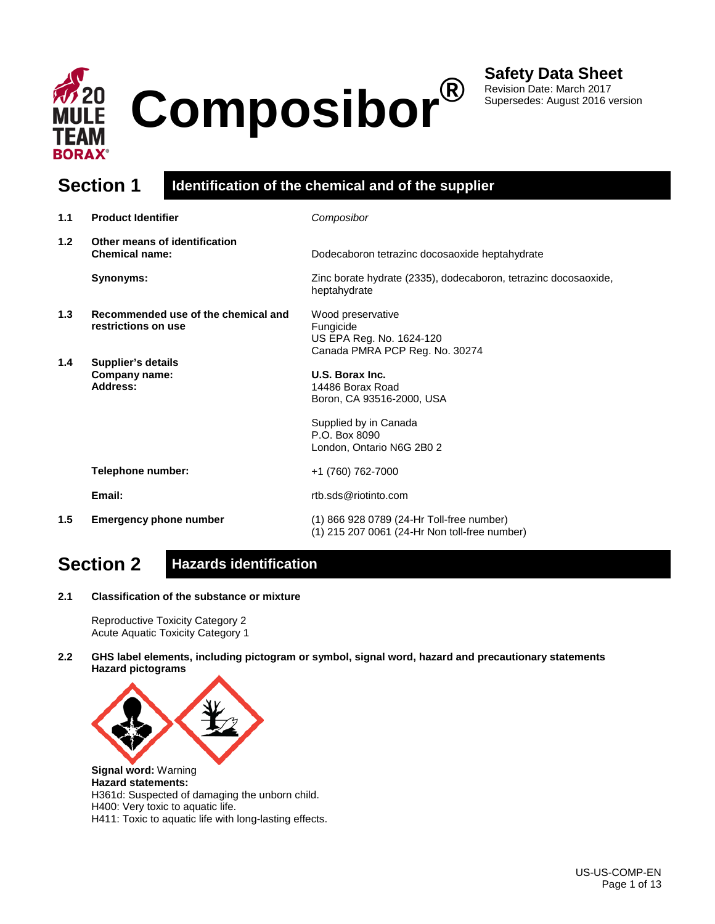

Revision Date: March 2017 Supersedes: August 2016 version

## **Section 1 Identification of the chemical and of the supplier**

| 1.1 | <b>Product Identifier</b>                                  | Composibor                                                                                   |
|-----|------------------------------------------------------------|----------------------------------------------------------------------------------------------|
| 1.2 | Other means of identification<br><b>Chemical name:</b>     | Dodecaboron tetrazinc docosaoxide heptahydrate                                               |
|     | Synonyms:                                                  | Zinc borate hydrate (2335), dodecaboron, tetrazinc docosaoxide,<br>heptahydrate              |
| 1.3 | Recommended use of the chemical and<br>restrictions on use | Wood preservative<br>Fungicide<br>US EPA Reg. No. 1624-120<br>Canada PMRA PCP Reg. No. 30274 |
| 1.4 | Supplier's details<br>Company name:<br>Address:            | U.S. Borax Inc.<br>14486 Borax Road<br>Boron, CA 93516-2000, USA                             |
|     |                                                            | Supplied by in Canada<br>P.O. Box 8090<br>London, Ontario N6G 2B0 2                          |
|     | Telephone number:                                          | +1 (760) 762-7000                                                                            |
|     | Email:                                                     | rtb.sds@riotinto.com                                                                         |
| 1.5 | <b>Emergency phone number</b>                              | (1) 866 928 0789 (24-Hr Toll-free number)<br>(1) 215 207 0061 (24-Hr Non toll-free number)   |

## **Section 2 Hazards identification**

**2.1 Classification of the substance or mixture**

Reproductive Toxicity Category 2 Acute Aquatic Toxicity Category 1

**2.2 GHS label elements, including pictogram or symbol, signal word, hazard and precautionary statements Hazard pictograms**



**Signal word:** Warning **Hazard statements:**  H361d: Suspected of damaging the unborn child. H400: Very toxic to aquatic life. H411: Toxic to aquatic life with long-lasting effects.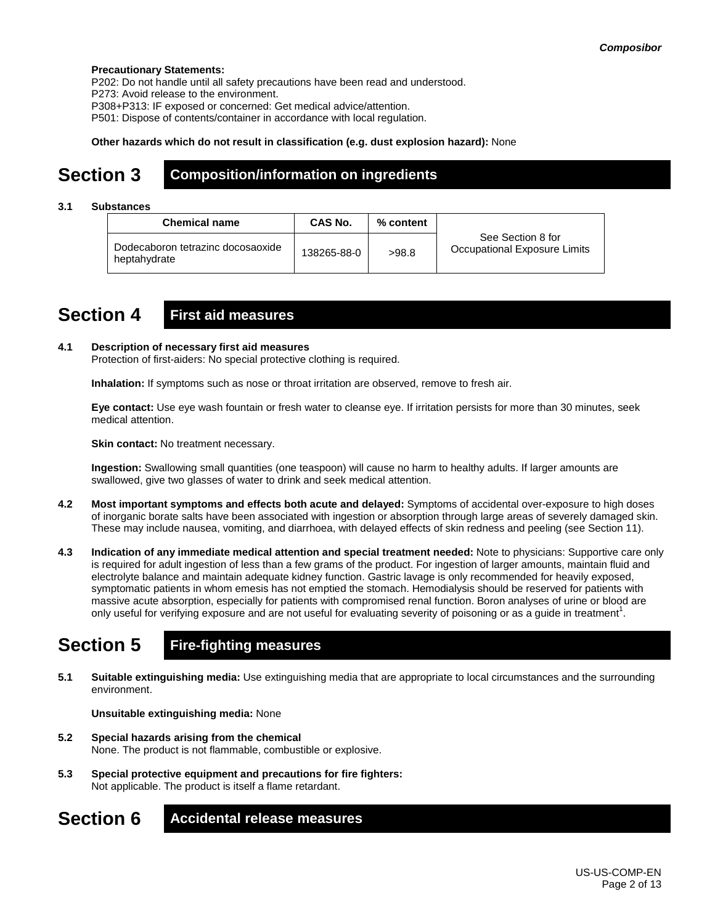### **Precautionary Statements:**

P202: Do not handle until all safety precautions have been read and understood.

P273: Avoid release to the environment.

P308+P313: IF exposed or concerned: Get medical advice/attention.

P501: Dispose of contents/container in accordance with local regulation.

### **Other hazards which do not result in classification (e.g. dust explosion hazard):** None

### **Section 3 Composition/information on ingredients**

### **3.1 Substances**

| <b>Chemical name</b>                              | CAS No.     | % content |                                                   |
|---------------------------------------------------|-------------|-----------|---------------------------------------------------|
| Dodecaboron tetrazinc docosaoxide<br>heptahydrate | 138265-88-0 | >98.8     | See Section 8 for<br>Occupational Exposure Limits |

### **Section 4 First aid measures**

### **4.1 Description of necessary first aid measures**

Protection of first-aiders: No special protective clothing is required.

**Inhalation:** If symptoms such as nose or throat irritation are observed, remove to fresh air.

**Eye contact:** Use eye wash fountain or fresh water to cleanse eye. If irritation persists for more than 30 minutes, seek medical attention.

**Skin contact:** No treatment necessary.

**Ingestion:** Swallowing small quantities (one teaspoon) will cause no harm to healthy adults. If larger amounts are swallowed, give two glasses of water to drink and seek medical attention.

- **4.2 Most important symptoms and effects both acute and delayed:** Symptoms of accidental over-exposure to high doses of inorganic borate salts have been associated with ingestion or absorption through large areas of severely damaged skin. These may include nausea, vomiting, and diarrhoea, with delayed effects of skin redness and peeling (see Section 11).
- **4.3 Indication of any immediate medical attention and special treatment needed:** Note to physicians: Supportive care only is required for adult ingestion of less than a few grams of the product. For ingestion of larger amounts, maintain fluid and electrolyte balance and maintain adequate kidney function. Gastric lavage is only recommended for heavily exposed, symptomatic patients in whom emesis has not emptied the stomach. Hemodialysis should be reserved for patients with massive acute absorption, especially for patients with compromised renal function. Boron analyses of urine or blood are only useful for verifying exposure and are not useful for evaluating severity of poisoning or as a guide in treatment<sup>1</sup>.

## **Section 5 Fire-fighting measures**

**5.1 Suitable extinguishing media:** Use extinguishing media that are appropriate to local circumstances and the surrounding environment.

**Unsuitable extinguishing media:** None

- **5.2 Special hazards arising from the chemical** None. The product is not flammable, combustible or explosive.
- **5.3 Special protective equipment and precautions for fire fighters:**  Not applicable. The product is itself a flame retardant.
- **Section 6 Accidental release measures**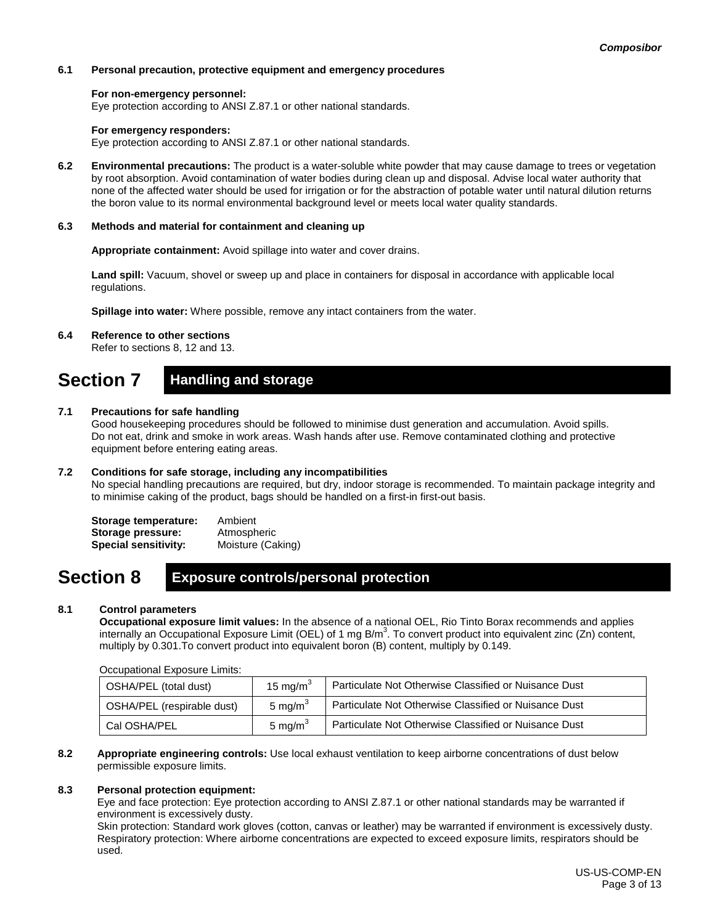### **6.1 Personal precaution, protective equipment and emergency procedures**

### **For non-emergency personnel:**

Eye protection according to ANSI Z.87.1 or other national standards.

### **For emergency responders:**

Eye protection according to ANSI Z.87.1 or other national standards.

**6.2 Environmental precautions:** The product is a water-soluble white powder that may cause damage to trees or vegetation by root absorption. Avoid contamination of water bodies during clean up and disposal. Advise local water authority that none of the affected water should be used for irrigation or for the abstraction of potable water until natural dilution returns the boron value to its normal environmental background level or meets local water quality standards.

### **6.3 Methods and material for containment and cleaning up**

**Appropriate containment:** Avoid spillage into water and cover drains.

**Land spill:** Vacuum, shovel or sweep up and place in containers for disposal in accordance with applicable local regulations.

**Spillage into water:** Where possible, remove any intact containers from the water.

### **6.4 Reference to other sections**

Refer to sections 8, 12 and 13.

### **Section 7 Handling and storage**

### **7.1 Precautions for safe handling**

Good housekeeping procedures should be followed to minimise dust generation and accumulation. Avoid spills. Do not eat, drink and smoke in work areas. Wash hands after use. Remove contaminated clothing and protective equipment before entering eating areas.

### **7.2 Conditions for safe storage, including any incompatibilities**

No special handling precautions are required, but dry, indoor storage is recommended. To maintain package integrity and to minimise caking of the product, bags should be handled on a first-in first-out basis.

| Storage temperature:        | Ambient           |
|-----------------------------|-------------------|
| Storage pressure:           | Atmospheric       |
| <b>Special sensitivity:</b> | Moisture (Caking) |

### **Section 8 Exposure controls/personal protection**

### **8.1 Control parameters**

**Occupational exposure limit values:** In the absence of a national OEL, Rio Tinto Borax recommends and applies internally an Occupational Exposure Limit (OEL) of 1 mg B/m<sup>3</sup>. To convert product into equivalent zinc (Zn) content, multiply by 0.301.To convert product into equivalent boron (B) content, multiply by 0.149.

| Occupational Exposure Limits. |                      |                                                       |  |  |  |
|-------------------------------|----------------------|-------------------------------------------------------|--|--|--|
| OSHA/PEL (total dust)         | 15 mg/m <sup>3</sup> | Particulate Not Otherwise Classified or Nuisance Dust |  |  |  |
| OSHA/PEL (respirable dust)    | 5 mg/m $3$           | Particulate Not Otherwise Classified or Nuisance Dust |  |  |  |
| Cal OSHA/PEL                  | 5 mg/m $^3$          | Particulate Not Otherwise Classified or Nuisance Dust |  |  |  |

### Occupational Exposure Limits:

**8.2 Appropriate engineering controls:** Use local exhaust ventilation to keep airborne concentrations of dust below permissible exposure limits.

### **8.3 Personal protection equipment:**

Eye and face protection: Eye protection according to ANSI Z.87.1 or other national standards may be warranted if environment is excessively dusty.

Skin protection: Standard work gloves (cotton, canvas or leather) may be warranted if environment is excessively dusty. Respiratory protection: Where airborne concentrations are expected to exceed exposure limits, respirators should be used.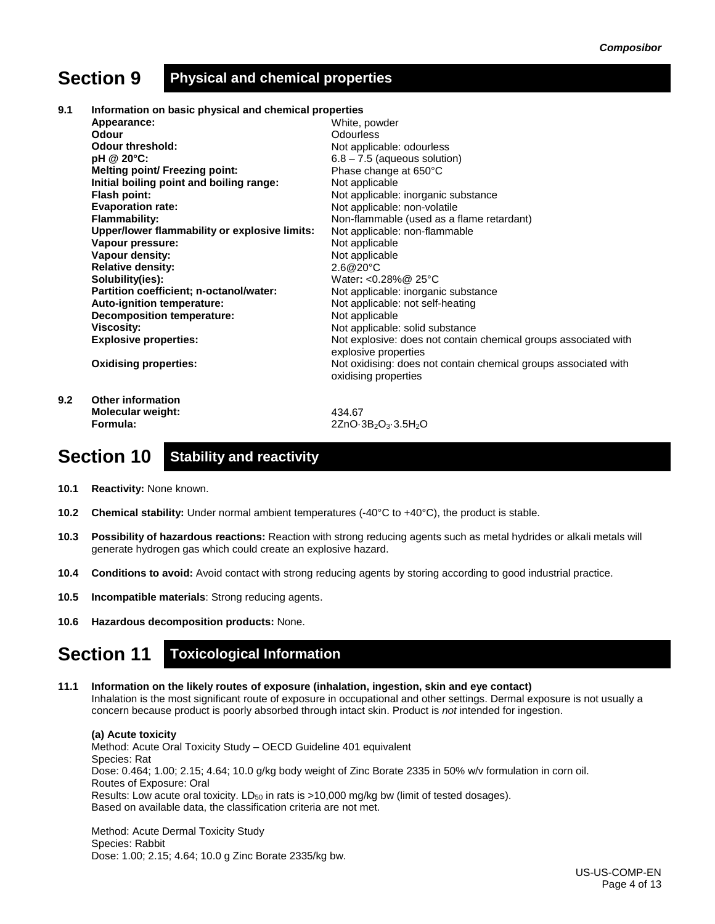## **Section 9 Physical and chemical properties**

**9.1 Information on basic physical and chemical properties**

|     | Appearance:                                   | White, powder                                                   |
|-----|-----------------------------------------------|-----------------------------------------------------------------|
|     | Odour                                         | <b>Odourless</b>                                                |
|     | <b>Odour threshold:</b>                       | Not applicable: odourless                                       |
|     | pH @ 20°C:                                    | $6.8 - 7.5$ (aqueous solution)                                  |
|     | <b>Melting point/ Freezing point:</b>         | Phase change at 650°C                                           |
|     | Initial boiling point and boiling range:      | Not applicable                                                  |
|     | Flash point:                                  | Not applicable: inorganic substance                             |
|     | <b>Evaporation rate:</b>                      | Not applicable: non-volatile                                    |
|     | <b>Flammability:</b>                          | Non-flammable (used as a flame retardant)                       |
|     | Upper/lower flammability or explosive limits: | Not applicable: non-flammable                                   |
|     | Vapour pressure:                              | Not applicable                                                  |
|     | Vapour density:                               | Not applicable                                                  |
|     | <b>Relative density:</b>                      | 2.6@20°C                                                        |
|     | Solubility(ies):                              | Water: < $0.28\%$ @ 25°C                                        |
|     | Partition coefficient; n-octanol/water:       | Not applicable: inorganic substance                             |
|     | Auto-ignition temperature:                    | Not applicable: not self-heating                                |
|     | <b>Decomposition temperature:</b>             | Not applicable                                                  |
|     | <b>Viscosity:</b>                             | Not applicable: solid substance                                 |
|     | <b>Explosive properties:</b>                  | Not explosive: does not contain chemical groups associated with |
|     |                                               | explosive properties                                            |
|     | <b>Oxidising properties:</b>                  | Not oxidising: does not contain chemical groups associated with |
|     |                                               | oxidising properties                                            |
|     |                                               |                                                                 |
| 9.2 | <b>Other information</b>                      |                                                                 |

**Molecular weight: Formula:**

434.67 2ZnO·3B2O3·3.5H2O

## **Section 10 Stability and reactivity**

- **10.1 Reactivity:** None known.
- **10.2 Chemical stability:** Under normal ambient temperatures (-40°C to +40°C), the product is stable.
- **10.3 Possibility of hazardous reactions:** Reaction with strong reducing agents such as metal hydrides or alkali metals will generate hydrogen gas which could create an explosive hazard.
- **10.4 Conditions to avoid:** Avoid contact with strong reducing agents by storing according to good industrial practice.
- **10.5 Incompatible materials**: Strong reducing agents.
- **10.6 Hazardous decomposition products:** None.

## **Section 11 Toxicological Information**

**11.1 Information on the likely routes of exposure (inhalation, ingestion, skin and eye contact)** Inhalation is the most significant route of exposure in occupational and other settings. Dermal exposure is not usually a concern because product is poorly absorbed through intact skin. Product is *not* intended for ingestion.

**(a) Acute toxicity** Method: Acute Oral Toxicity Study – OECD Guideline 401 equivalent Species: Rat Dose: 0.464; 1.00; 2.15; 4.64; 10.0 g/kg body weight of Zinc Borate 2335 in 50% w/v formulation in corn oil. Routes of Exposure: Oral Results: Low acute oral toxicity.  $LD_{50}$  in rats is >10,000 mg/kg bw (limit of tested dosages). Based on available data, the classification criteria are not met.

Method: Acute Dermal Toxicity Study Species: Rabbit Dose: 1.00; 2.15; 4.64; 10.0 g Zinc Borate 2335/kg bw.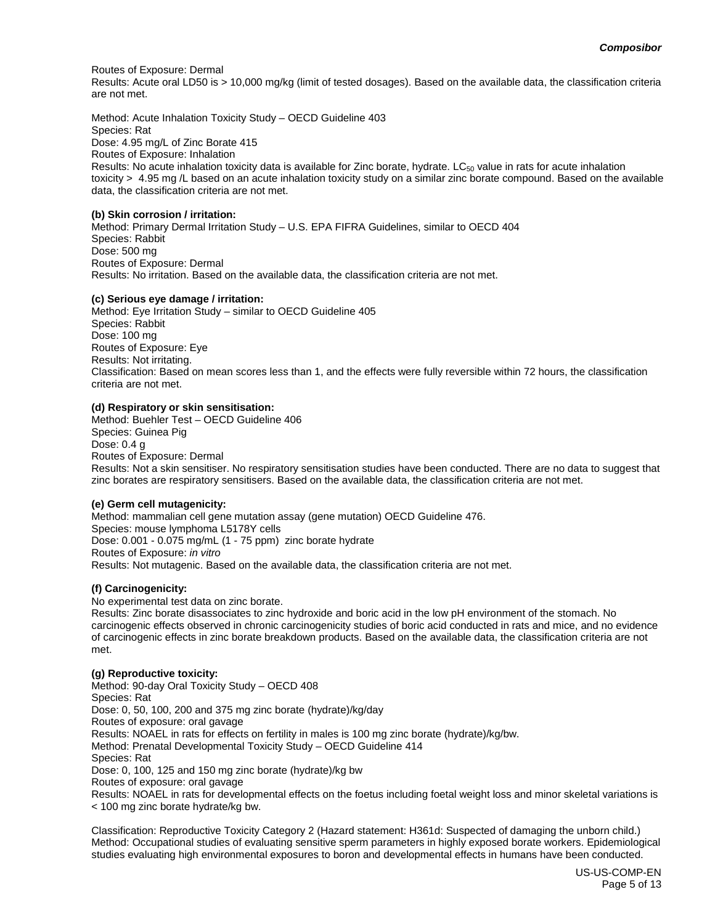Routes of Exposure: Dermal

Results: Acute oral LD50 is > 10,000 mg/kg (limit of tested dosages). Based on the available data, the classification criteria are not met.

Method: Acute Inhalation Toxicity Study – OECD Guideline 403 Species: Rat Dose: 4.95 mg/L of Zinc Borate 415 Routes of Exposure: Inhalation Results: No acute inhalation toxicity data is available for Zinc borate, hydrate.  $LC_{50}$  value in rats for acute inhalation toxicity > 4.95 mg /L based on an acute inhalation toxicity study on a similar zinc borate compound. Based on the available data, the classification criteria are not met.

### **(b) Skin corrosion / irritation:**

Method: Primary Dermal Irritation Study – U.S. EPA FIFRA Guidelines, similar to OECD 404 Species: Rabbit Dose: 500 mg Routes of Exposure: Dermal Results: No irritation. Based on the available data, the classification criteria are not met.

### **(c) Serious eye damage / irritation:**

Method: Eye Irritation Study – similar to OECD Guideline 405 Species: Rabbit Dose: 100 mg Routes of Exposure: Eye Results: Not irritating. Classification: Based on mean scores less than 1, and the effects were fully reversible within 72 hours, the classification criteria are not met.

### **(d) Respiratory or skin sensitisation:**

Method: Buehler Test – OECD Guideline 406 Species: Guinea Pig Dose: 0.4 g Routes of Exposure: Dermal Results: Not a skin sensitiser. No respiratory sensitisation studies have been conducted. There are no data to suggest that zinc borates are respiratory sensitisers. Based on the available data, the classification criteria are not met.

### **(e) Germ cell mutagenicity:**

Method: mammalian cell gene mutation assay (gene mutation) OECD Guideline 476. Species: mouse lymphoma L5178Y cells Dose: 0.001 - 0.075 mg/mL (1 - 75 ppm) zinc borate hydrate Routes of Exposure: *in vitro* Results: Not mutagenic. Based on the available data, the classification criteria are not met.

### **(f) Carcinogenicity:**

No experimental test data on zinc borate.

Results: Zinc borate disassociates to zinc hydroxide and boric acid in the low pH environment of the stomach. No carcinogenic effects observed in chronic carcinogenicity studies of boric acid conducted in rats and mice, and no evidence of carcinogenic effects in zinc borate breakdown products. Based on the available data, the classification criteria are not met.

### **(g) Reproductive toxicity:**

Method: 90-day Oral Toxicity Study – OECD 408 Species: Rat Dose: 0, 50, 100, 200 and 375 mg zinc borate (hydrate)/kg/day Routes of exposure: oral gavage Results: NOAEL in rats for effects on fertility in males is 100 mg zinc borate (hydrate)/kg/bw. Method: Prenatal Developmental Toxicity Study – OECD Guideline 414 Species: Rat Dose: 0, 100, 125 and 150 mg zinc borate (hydrate)/kg bw Routes of exposure: oral gavage Results: NOAEL in rats for developmental effects on the foetus including foetal weight loss and minor skeletal variations is

< 100 mg zinc borate hydrate/kg bw.

Classification: Reproductive Toxicity Category 2 (Hazard statement: H361d: Suspected of damaging the unborn child.) Method: Occupational studies of evaluating sensitive sperm parameters in highly exposed borate workers. Epidemiological studies evaluating high environmental exposures to boron and developmental effects in humans have been conducted.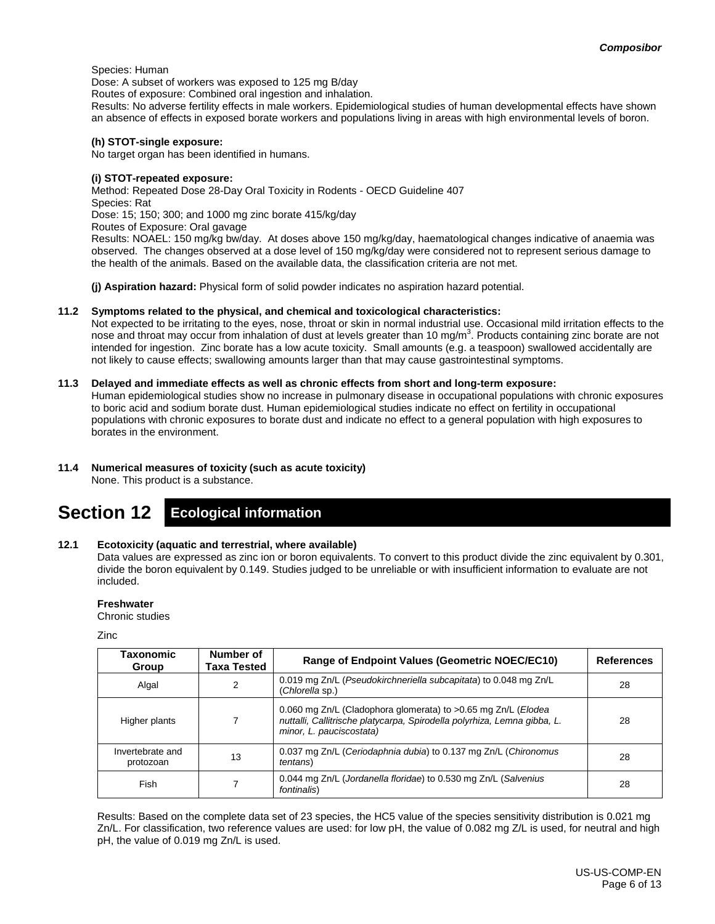### Species: Human

Dose: A subset of workers was exposed to 125 mg B/day

Routes of exposure: Combined oral ingestion and inhalation.

Results: No adverse fertility effects in male workers. Epidemiological studies of human developmental effects have shown an absence of effects in exposed borate workers and populations living in areas with high environmental levels of boron.

### **(h) STOT-single exposure:**

No target organ has been identified in humans.

### **(i) STOT-repeated exposure:**

Method: Repeated Dose 28-Day Oral Toxicity in Rodents - OECD Guideline 407 Species: Rat Dose: 15; 150; 300; and 1000 mg zinc borate 415/kg/day Routes of Exposure: Oral gavage Results: NOAEL: 150 mg/kg bw/day. At doses above 150 mg/kg/day, haematological changes indicative of anaemia was observed. The changes observed at a dose level of 150 mg/kg/day were considered not to represent serious damage to the health of the animals. Based on the available data, the classification criteria are not met.

**(j) Aspiration hazard:** Physical form of solid powder indicates no aspiration hazard potential.

### **11.2 Symptoms related to the physical, and chemical and toxicological characteristics:**

Not expected to be irritating to the eyes, nose, throat or skin in normal industrial use. Occasional mild irritation effects to the nose and throat may occur from inhalation of dust at levels greater than 10 mg/m<sup>3</sup>. Products containing zinc borate are not intended for ingestion. Zinc borate has a low acute toxicity. Small amounts (e.g. a teaspoon) swallowed accidentally are not likely to cause effects; swallowing amounts larger than that may cause gastrointestinal symptoms.

### **11.3 Delayed and immediate effects as well as chronic effects from short and long-term exposure:**

Human epidemiological studies show no increase in pulmonary disease in occupational populations with chronic exposures to boric acid and sodium borate dust. Human epidemiological studies indicate no effect on fertility in occupational populations with chronic exposures to borate dust and indicate no effect to a general population with high exposures to borates in the environment.

### **11.4 Numerical measures of toxicity (such as acute toxicity)**

None. This product is a substance.

## **Section 12 Ecological information**

### **12.1 Ecotoxicity (aquatic and terrestrial, where available)**

Data values are expressed as zinc ion or boron equivalents. To convert to this product divide the zinc equivalent by 0.301, divide the boron equivalent by 0.149. Studies judged to be unreliable or with insufficient information to evaluate are not included.

### **Freshwater**

Chronic studies

Zinc

| Taxonomic<br>Group            | Number of<br>Taxa Tested | <b>Range of Endpoint Values (Geometric NOEC/EC10)</b>                                                                                                                 | <b>References</b> |
|-------------------------------|--------------------------|-----------------------------------------------------------------------------------------------------------------------------------------------------------------------|-------------------|
| Algal                         | 2                        | 0.019 mg Zn/L (Pseudokirchneriella subcapitata) to 0.048 mg Zn/L<br>(Chlorella sp.)                                                                                   | 28                |
| Higher plants                 |                          | 0.060 mg Zn/L (Cladophora glomerata) to >0.65 mg Zn/L (Elodea<br>nuttalli, Callitrische platycarpa, Spirodella polyrhiza, Lemna gibba, L.<br>minor, L. pauciscostata) | 28                |
| Invertebrate and<br>protozoan | 13                       | 0.037 mg Zn/L (Ceriodaphnia dubia) to 0.137 mg Zn/L (Chironomus<br><i>tentans</i> )                                                                                   | 28                |
| Fish                          |                          | 0.044 mg Zn/L (Jordanella floridae) to 0.530 mg Zn/L (Salvenius<br>fontinalis)                                                                                        | 28                |

Results: Based on the complete data set of 23 species, the HC5 value of the species sensitivity distribution is 0.021 mg Zn/L. For classification, two reference values are used: for low pH, the value of 0.082 mg Z/L is used, for neutral and high pH, the value of 0.019 mg Zn/L is used.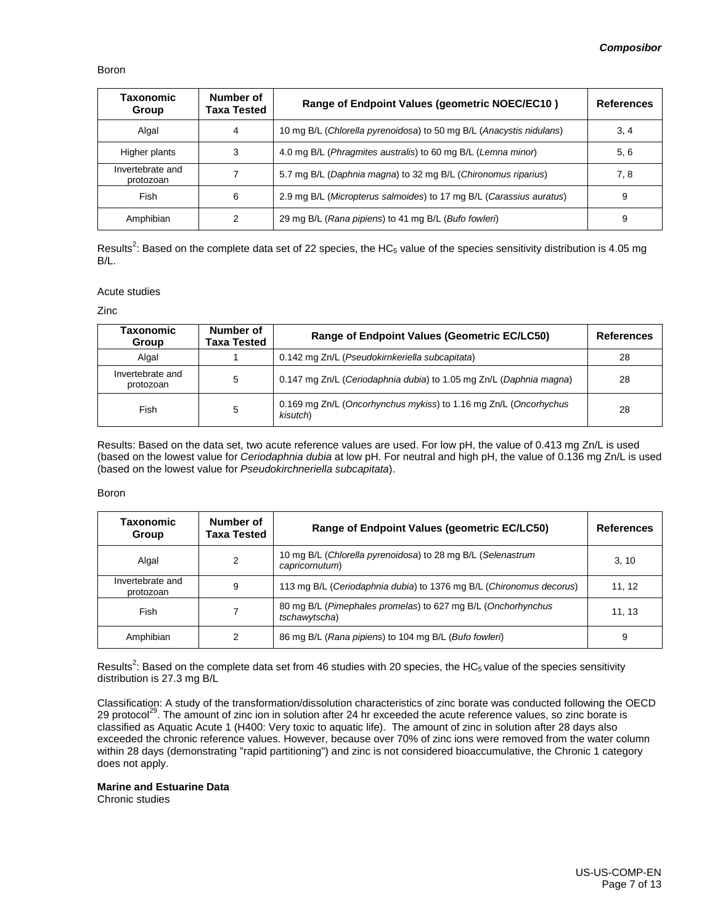### Boron

| Taxonomic<br>Group            | Number of<br>Taxa Tested | Range of Endpoint Values (geometric NOEC/EC10)                      | <b>References</b> |
|-------------------------------|--------------------------|---------------------------------------------------------------------|-------------------|
| Algal                         | 4                        | 10 mg B/L (Chlorella pyrenoidosa) to 50 mg B/L (Anacystis nidulans) | 3, 4              |
| Higher plants                 | 3                        | 4.0 mg B/L (Phragmites australis) to 60 mg B/L (Lemna minor)        | 5, 6              |
| Invertebrate and<br>protozoan |                          | 5.7 mg B/L (Daphnia magna) to 32 mg B/L (Chironomus riparius)       | 7, 8              |
| Fish                          | 6                        | 2.9 mg B/L (Micropterus salmoides) to 17 mg B/L (Carassius auratus) | 9                 |
| Amphibian                     |                          | 29 mg B/L (Rana pipiens) to 41 mg B/L (Bufo fowleri)                | 9                 |

Results<sup>2</sup>: Based on the complete data set of 22 species, the HC<sub>5</sub> value of the species sensitivity distribution is 4.05 mg B/L.

### Acute studies

Zinc

| Taxonomic<br>Group            | Number of<br>Taxa Tested | Range of Endpoint Values (Geometric EC/LC50)                                 | References |
|-------------------------------|--------------------------|------------------------------------------------------------------------------|------------|
| Algal                         |                          | 0.142 mg Zn/L (Pseudokirnkeriella subcapitata)                               | 28         |
| Invertebrate and<br>protozoan | 5                        | 0.147 mg Zn/L (Ceriodaphnia dubia) to 1.05 mg Zn/L (Daphnia magna)           | 28         |
| Fish                          | 5                        | 0.169 mg Zn/L (Oncorhynchus mykiss) to 1.16 mg Zn/L (Oncorhychus<br>kisutch) | 28         |

Results: Based on the data set, two acute reference values are used. For low pH, the value of 0.413 mg Zn/L is used (based on the lowest value for *Ceriodaphnia dubia* at low pH. For neutral and high pH, the value of 0.136 mg Zn/L is used (based on the lowest value for *Pseudokirchneriella subcapitata*).

#### Boron

| Taxonomic<br>Group            | Number of<br>Taxa Tested | Range of Endpoint Values (geometric EC/LC50)                                  | <b>References</b> |
|-------------------------------|--------------------------|-------------------------------------------------------------------------------|-------------------|
| Algal                         | 2                        | 10 mg B/L (Chlorella pyrenoidosa) to 28 mg B/L (Selenastrum<br>capricornutum) | 3, 10             |
| Invertebrate and<br>protozoan | 9                        | 113 mg B/L (Ceriodaphnia dubia) to 1376 mg B/L (Chironomus decorus)           | 11, 12            |
| Fish                          |                          | 80 mg B/L (Pimephales promelas) to 627 mg B/L (Onchorhynchus<br>tschawytscha) | 11, 13            |
| Amphibian                     | 2                        | 86 mg B/L (Rana pipiens) to 104 mg B/L (Bufo fowleri)                         | 9                 |

Results<sup>2</sup>: Based on the complete data set from 46 studies with 20 species, the HC<sub>5</sub> value of the species sensitivity distribution is 27.3 mg B/L

Classification: A study of the transformation/dissolution characteristics of zinc borate was conducted following the OECD 29 protocol<sup>29</sup>. The amount of zinc ion in solution after 24 hr exceeded the acute reference values, so zinc borate is classified as Aquatic Acute 1 (H400: Very toxic to aquatic life). The amount of zinc in solution after 28 days also exceeded the chronic reference values. However, because over 70% of zinc ions were removed from the water column within 28 days (demonstrating "rapid partitioning") and zinc is not considered bioaccumulative, the Chronic 1 category does not apply.

### **Marine and Estuarine Data**

Chronic studies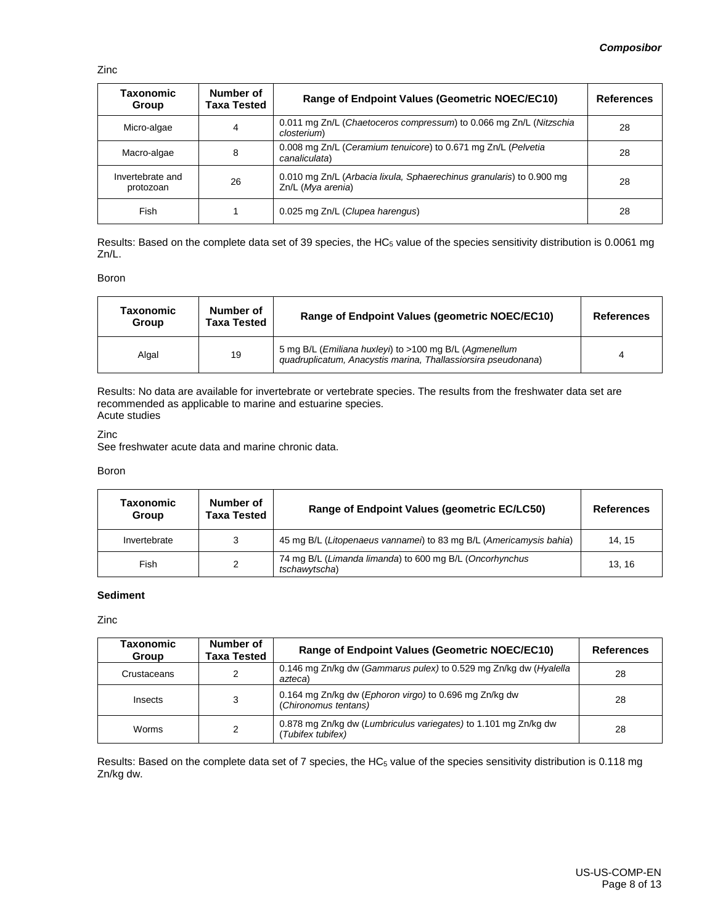Zinc

| Taxonomic<br>Group            | Number of<br>Taxa Tested | <b>Range of Endpoint Values (Geometric NOEC/EC10)</b>                                     | <b>References</b> |
|-------------------------------|--------------------------|-------------------------------------------------------------------------------------------|-------------------|
| Micro-algae                   | 4                        | 0.011 mg Zn/L (Chaetoceros compressum) to 0.066 mg Zn/L (Nitzschia<br>closterium)         | 28                |
| Macro-algae                   | 8                        | 0.008 mg Zn/L (Ceramium tenuicore) to 0.671 mg Zn/L (Pelvetia<br>canaliculata)            | 28                |
| Invertebrate and<br>protozoan | 26                       | 0.010 mg Zn/L (Arbacia lixula, Sphaerechinus granularis) to 0.900 mg<br>Zn/L (Mya arenia) | 28                |
| Fish                          |                          | 0.025 mg Zn/L (Clupea harengus)                                                           | 28                |

Results: Based on the complete data set of 39 species, the HC<sub>5</sub> value of the species sensitivity distribution is 0.0061 mg Zn/L.

### Boron

| Taxonomic<br><b>Group</b> | Number of<br><b>Taxa Tested</b> | Range of Endpoint Values (geometric NOEC/EC10)                                                                          | <b>References</b> |
|---------------------------|---------------------------------|-------------------------------------------------------------------------------------------------------------------------|-------------------|
| Algal                     | 19                              | 5 mg B/L (Emiliana huxleyi) to >100 mg B/L (Agmenellum<br>quadruplicatum, Anacystis marina, Thallassiorsira pseudonana) |                   |

Results: No data are available for invertebrate or vertebrate species. The results from the freshwater data set are recommended as applicable to marine and estuarine species. Acute studies

#### Zinc

See freshwater acute data and marine chronic data.

#### Boron

| Taxonomic<br>Group | Number of<br>Taxa Tested | Range of Endpoint Values (geometric EC/LC50)                             | <b>References</b> |
|--------------------|--------------------------|--------------------------------------------------------------------------|-------------------|
| Invertebrate       | 3                        | 45 mg B/L (Litopenaeus vannamei) to 83 mg B/L (Americamysis bahia)       | 14.15             |
| Fish               | 2                        | 74 mg B/L (Limanda limanda) to 600 mg B/L (Oncorhynchus<br>tschawytscha) | 13.16             |

### **Sediment**

Zinc

| Taxonomic<br>Group | Number of<br>Taxa Tested | Range of Endpoint Values (Geometric NOEC/EC10)                                      | <b>References</b> |
|--------------------|--------------------------|-------------------------------------------------------------------------------------|-------------------|
| Crustaceans        |                          | 0.146 mg Zn/kg dw (Gammarus pulex) to 0.529 mg Zn/kg dw (Hyalella<br>azteca)        | 28                |
| Insects            | 3                        | 0.164 mg Zn/kg dw (Ephoron virgo) to 0.696 mg Zn/kg dw<br>(Chironomus tentans)      | 28                |
| Worms              | 2                        | 0.878 mg Zn/kg dw (Lumbriculus variegates) to 1.101 mg Zn/kg dw<br>Tubifex tubifex) | 28                |

Results: Based on the complete data set of 7 species, the HC $_5$  value of the species sensitivity distribution is 0.118 mg Zn/kg dw.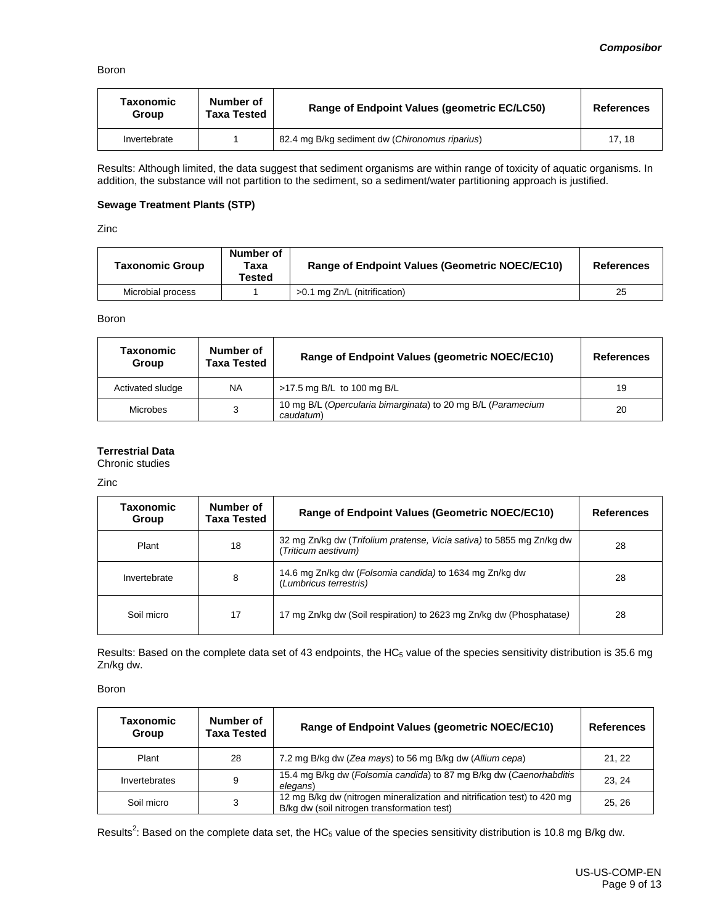### Boron

| Taxonomic<br>Group | Number of<br><b>Taxa Tested</b> | Range of Endpoint Values (geometric EC/LC50)   | <b>References</b> |
|--------------------|---------------------------------|------------------------------------------------|-------------------|
| Invertebrate       |                                 | 82.4 mg B/kg sediment dw (Chironomus riparius) | 17.18             |

Results: Although limited, the data suggest that sediment organisms are within range of toxicity of aquatic organisms. In addition, the substance will not partition to the sediment, so a sediment/water partitioning approach is justified.

### **Sewage Treatment Plants (STP)**

Zinc

| <b>Taxonomic Group</b> | Number of<br>Taxa<br>Tested | <b>Range of Endpoint Values (Geometric NOEC/EC10)</b> | <b>References</b> |
|------------------------|-----------------------------|-------------------------------------------------------|-------------------|
| Microbial process      |                             | >0.1 mg Zn/L (nitrification)                          | 25                |

Boron

| Taxonomic<br>Group | Number of<br>Taxa Tested | Range of Endpoint Values (geometric NOEC/EC10)                            | <b>References</b> |
|--------------------|--------------------------|---------------------------------------------------------------------------|-------------------|
| Activated sludge   | <b>NA</b>                | >17.5 mg B/L to 100 mg B/L                                                | 19                |
| Microbes           | 3                        | 10 mg B/L (Opercularia bimarginata) to 20 mg B/L (Paramecium<br>caudatum) | 20                |

### **Terrestrial Data**

Chronic studies

Zinc

| Taxonomic<br>Group | Number of<br>Taxa Tested | <b>Range of Endpoint Values (Geometric NOEC/EC10)</b>                                        | <b>References</b> |
|--------------------|--------------------------|----------------------------------------------------------------------------------------------|-------------------|
| Plant              | 18                       | 32 mg Zn/kg dw (Trifolium pratense, Vicia sativa) to 5855 mg Zn/kg dw<br>(Triticum aestivum) | 28                |
| Invertebrate       | 8                        | 14.6 mg Zn/kg dw (Folsomia candida) to 1634 mg Zn/kg dw<br>(Lumbricus terrestris)            | 28                |
| Soil micro         | 17                       | 17 mg Zn/kg dw (Soil respiration) to 2623 mg Zn/kg dw (Phosphatase)                          | 28                |

Results: Based on the complete data set of 43 endpoints, the HC<sub>5</sub> value of the species sensitivity distribution is 35.6 mg Zn/kg dw.

Boron

| Taxonomic<br>Group | Number of<br><b>Taxa Tested</b> | Range of Endpoint Values (geometric NOEC/EC10)                                                                          | <b>References</b> |
|--------------------|---------------------------------|-------------------------------------------------------------------------------------------------------------------------|-------------------|
| Plant              | 28                              | 7.2 mg B/kg dw (Zea mays) to 56 mg B/kg dw (Allium cepa)                                                                | 21, 22            |
| Invertebrates      | 9                               | 15.4 mg B/kg dw (Folsomia candida) to 87 mg B/kg dw (Caenorhabditis<br>elegans)                                         | 23.24             |
| Soil micro         | 3                               | 12 mg B/kg dw (nitrogen mineralization and nitrification test) to 420 mg<br>B/kg dw (soil nitrogen transformation test) | 25.26             |

Results<sup>2</sup>: Based on the complete data set, the HC<sub>5</sub> value of the species sensitivity distribution is 10.8 mg B/kg dw.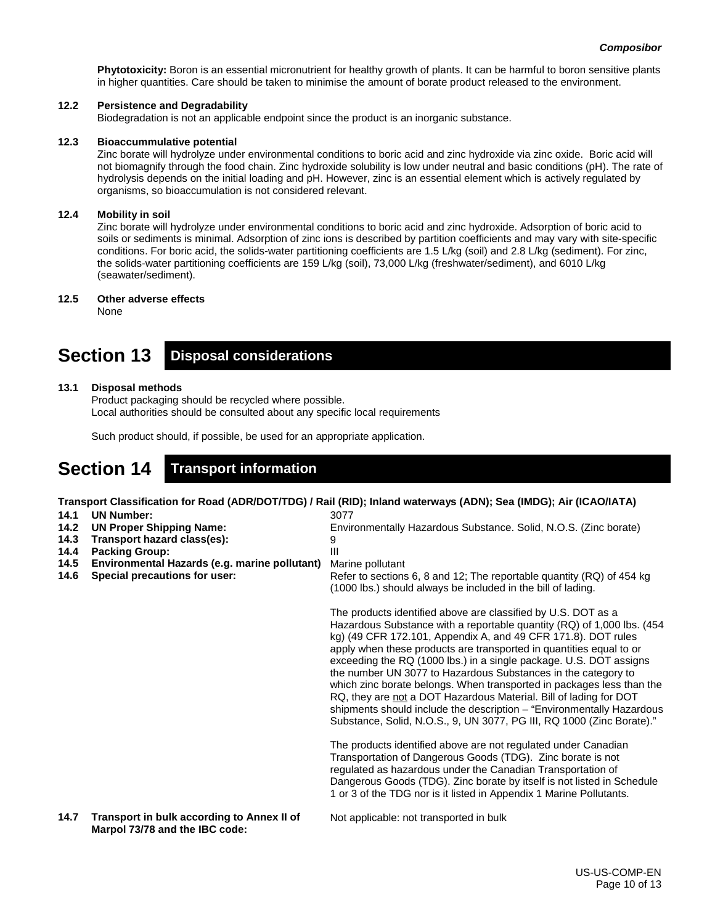**Phytotoxicity:** Boron is an essential micronutrient for healthy growth of plants. It can be harmful to boron sensitive plants in higher quantities. Care should be taken to minimise the amount of borate product released to the environment.

### **12.2 Persistence and Degradability**

Biodegradation is not an applicable endpoint since the product is an inorganic substance.

### **12.3 Bioaccummulative potential**

Zinc borate will hydrolyze under environmental conditions to boric acid and zinc hydroxide via zinc oxide. Boric acid will not biomagnify through the food chain. Zinc hydroxide solubility is low under neutral and basic conditions (pH). The rate of hydrolysis depends on the initial loading and pH. However, zinc is an essential element which is actively regulated by organisms, so bioaccumulation is not considered relevant.

### **12.4 Mobility in soil**

Zinc borate will hydrolyze under environmental conditions to boric acid and zinc hydroxide. Adsorption of boric acid to soils or sediments is minimal. Adsorption of zinc ions is described by partition coefficients and may vary with site-specific conditions. For boric acid, the solids-water partitioning coefficients are 1.5 L/kg (soil) and 2.8 L/kg (sediment). For zinc, the solids-water partitioning coefficients are 159 L/kg (soil), 73,000 L/kg (freshwater/sediment), and 6010 L/kg (seawater/sediment).

### **12.5 Other adverse effects**

None

### **Section 13 Disposal considerations**

### **13.1 Disposal methods**

Product packaging should be recycled where possible. Local authorities should be consulted about any specific local requirements

Such product should, if possible, be used for an appropriate application.

## **Section 14 Transport information**

**Transport Classification for Road (ADR/DOT/TDG) / Rail (RID); Inland waterways (ADN); Sea (IMDG); Air (ICAO/IATA)** 3077

9

- **14.1 UN Number:**
- **14.2 UN Proper Shipping Name:**
- **14.3 Transport hazard class(es):**
- **14.4 Packing Group:**
- **14.5 Environmental Hazards (e.g. marine pollutant)**
- **14.6 Special precautions for user:**

#### III Marine pollutant

Refer to sections 6, 8 and 12; The reportable quantity (RQ) of 454 kg (1000 lbs.) should always be included in the bill of lading.

Environmentally Hazardous Substance. Solid, N.O.S. (Zinc borate)

The products identified above are classified by U.S. DOT as a Hazardous Substance with a reportable quantity (RQ) of 1,000 lbs. (454 kg) (49 CFR 172.101, Appendix A, and 49 CFR 171.8). DOT rules apply when these products are transported in quantities equal to or exceeding the RQ (1000 lbs.) in a single package. U.S. DOT assigns the number UN 3077 to Hazardous Substances in the category to which zinc borate belongs. When transported in packages less than the RQ, they are not a DOT Hazardous Material. Bill of lading for DOT shipments should include the description – "Environmentally Hazardous Substance, Solid, N.O.S., 9, UN 3077, PG III, RQ 1000 (Zinc Borate)."

The products identified above are not regulated under Canadian Transportation of Dangerous Goods (TDG). Zinc borate is not regulated as hazardous under the Canadian Transportation of Dangerous Goods (TDG). Zinc borate by itself is not listed in Schedule 1 or 3 of the TDG nor is it listed in Appendix 1 Marine Pollutants.

**14.7 Transport in bulk according to Annex II of Marpol 73/78 and the IBC code:**

Not applicable: not transported in bulk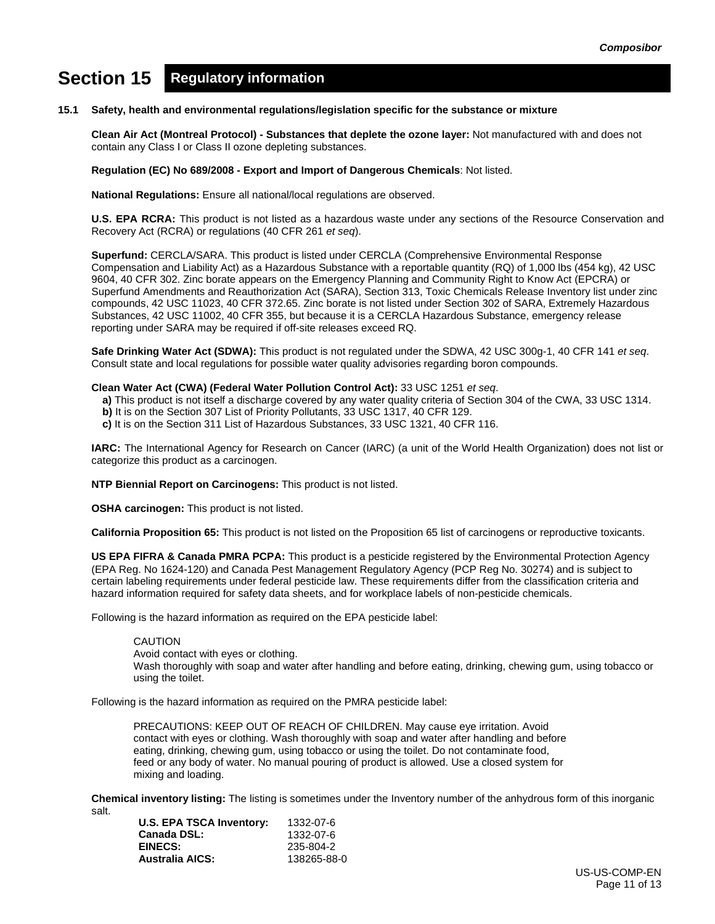# **Section 15 Regulatory information**

### **15.1 Safety, health and environmental regulations/legislation specific for the substance or mixture**

**Clean Air Act (Montreal Protocol) - Substances that deplete the ozone layer:** Not manufactured with and does not contain any Class I or Class II ozone depleting substances.

**Regulation (EC) No 689/2008 - Export and Import of Dangerous Chemicals**: Not listed.

**National Regulations:** Ensure all national/local regulations are observed.

**U.S. EPA RCRA:** This product is not listed as a hazardous waste under any sections of the Resource Conservation and Recovery Act (RCRA) or regulations (40 CFR 261 *et seq*).

**Superfund:** CERCLA/SARA. This product is listed under CERCLA (Comprehensive Environmental Response Compensation and Liability Act) as a Hazardous Substance with a reportable quantity (RQ) of 1,000 lbs (454 kg), 42 USC 9604, 40 CFR 302. Zinc borate appears on the Emergency Planning and Community Right to Know Act (EPCRA) or Superfund Amendments and Reauthorization Act (SARA), Section 313, Toxic Chemicals Release Inventory list under zinc compounds, 42 USC 11023, 40 CFR 372.65. Zinc borate is not listed under Section 302 of SARA, Extremely Hazardous Substances, 42 USC 11002, 40 CFR 355, but because it is a CERCLA Hazardous Substance, emergency release reporting under SARA may be required if off-site releases exceed RQ.

**Safe Drinking Water Act (SDWA):** This product is not regulated under the SDWA, 42 USC 300g-1, 40 CFR 141 *et seq*. Consult state and local regulations for possible water quality advisories regarding boron compounds.

### **Clean Water Act (CWA) (Federal Water Pollution Control Act):** 33 USC 1251 *et seq*.

- **a)** This product is not itself a discharge covered by any water quality criteria of Section 304 of the CWA, 33 USC 1314.
- **b)** It is on the Section 307 List of Priority Pollutants, 33 USC 1317, 40 CFR 129.
- **c)** It is on the Section 311 List of Hazardous Substances, 33 USC 1321, 40 CFR 116.

**IARC:** The International Agency for Research on Cancer (IARC) (a unit of the World Health Organization) does not list or categorize this product as a carcinogen.

**NTP Biennial Report on Carcinogens:** This product is not listed.

**OSHA carcinogen:** This product is not listed.

**California Proposition 65:** This product is not listed on the Proposition 65 list of carcinogens or reproductive toxicants.

**US EPA FIFRA & Canada PMRA PCPA:** This product is a pesticide registered by the Environmental Protection Agency (EPA Reg. No 1624-120) and Canada Pest Management Regulatory Agency (PCP Reg No. 30274) and is subject to certain labeling requirements under federal pesticide law. These requirements differ from the classification criteria and hazard information required for safety data sheets, and for workplace labels of non-pesticide chemicals.

Following is the hazard information as required on the EPA pesticide label:

### CAUTION

Avoid contact with eyes or clothing.

Wash thoroughly with soap and water after handling and before eating, drinking, chewing gum, using tobacco or using the toilet.

Following is the hazard information as required on the PMRA pesticide label:

PRECAUTIONS: KEEP OUT OF REACH OF CHILDREN. May cause eye irritation. Avoid contact with eyes or clothing. Wash thoroughly with soap and water after handling and before eating, drinking, chewing gum, using tobacco or using the toilet. Do not contaminate food, feed or any body of water. No manual pouring of product is allowed. Use a closed system for mixing and loading.

**Chemical inventory listing:** The listing is sometimes under the Inventory number of the anhydrous form of this inorganic salt.

| U.S. EPA TSCA Inventory: | 1332-07-6   |
|--------------------------|-------------|
| Canada DSL:              | 1332-07-6   |
| EINECS:                  | 235-804-2   |
| <b>Australia AICS:</b>   | 138265-88-0 |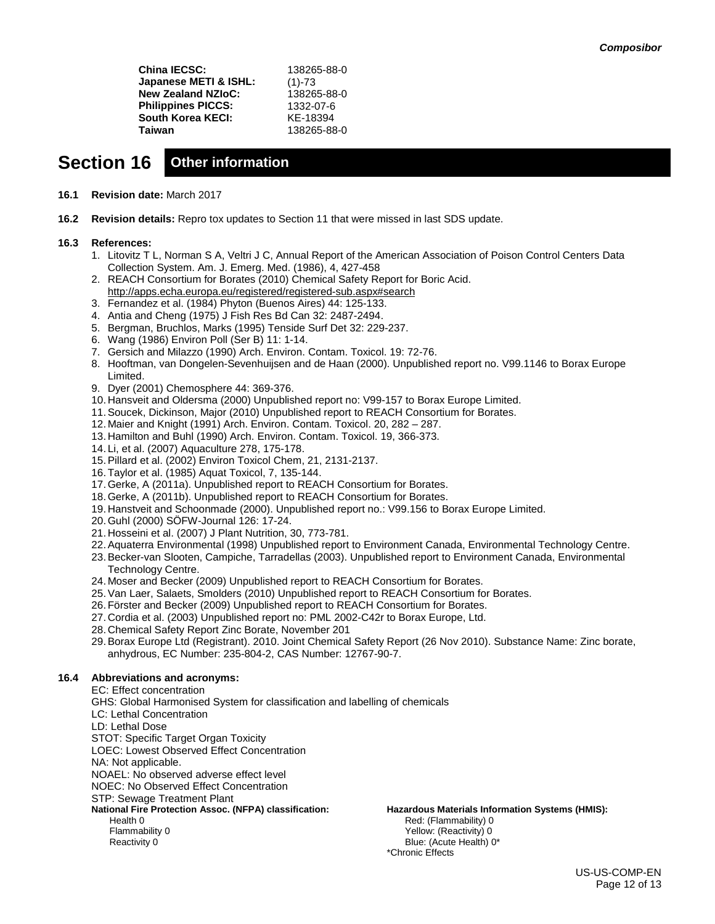**China IECSC:** 138265-88-0 **Japanese METI & ISHL:** (1)-73 **New Zealand NZIoC:** 138265-88-0 **Philippines PICCS:** 1332-07-6<br>**South Korea KECI:** KE-18394 **South Korea KECI:<br>Taiwan Taiwan** 138265-88-0

## **Section 16 Other information**

- **16.1 Revision date:** March 2017
- **16.2 Revision details:** Repro tox updates to Section 11 that were missed in last SDS update.

### **16.3 References:**

- 1. Litovitz T L, Norman S A, Veltri J C, Annual Report of the American Association of Poison Control Centers Data Collection System. Am. J. Emerg. Med. (1986), 4, 427-458
- 2. REACH Consortium for Borates (2010) Chemical Safety Report for Boric Acid. <http://apps.echa.europa.eu/registered/registered-sub.aspx#search>
- 3. Fernandez et al. (1984) Phyton (Buenos Aires) 44: 125-133.
- 4. Antia and Cheng (1975) J Fish Res Bd Can 32: 2487-2494.
- 5. Bergman, Bruchlos, Marks (1995) Tenside Surf Det 32: 229-237.
- 6. Wang (1986) Environ Poll (Ser B) 11: 1-14.
- 7. Gersich and Milazzo (1990) Arch. Environ. Contam. Toxicol. 19: 72-76.
- 8. Hooftman, van Dongelen-Sevenhuijsen and de Haan (2000). Unpublished report no. V99.1146 to Borax Europe Limited.
- 9. Dyer (2001) Chemosphere 44: 369-376.
- 10. Hansveit and Oldersma (2000) Unpublished report no: V99-157 to Borax Europe Limited.
- 11.Soucek, Dickinson, Major (2010) Unpublished report to REACH Consortium for Borates.
- 12. Maier and Knight (1991) Arch. Environ. Contam. Toxicol. 20, 282 287.
- 13. Hamilton and Buhl (1990) Arch. Environ. Contam. Toxicol. 19, 366-373.
- 14. Li, et al. (2007) Aquaculture 278, 175-178.
- 15.Pillard et al. (2002) Environ Toxicol Chem, 21, 2131-2137.
- 16.Taylor et al. (1985) Aquat Toxicol, 7, 135-144.
- 17.Gerke, A (2011a). Unpublished report to REACH Consortium for Borates.
- 18.Gerke, A (2011b). Unpublished report to REACH Consortium for Borates.
- 19. Hanstveit and Schoonmade (2000). Unpublished report no.: V99.156 to Borax Europe Limited.
- 20.Guhl (2000) SÖFW-Journal 126: 17-24.
- 21. Hosseini et al. (2007) J Plant Nutrition, 30, 773-781.
- 22.Aquaterra Environmental (1998) Unpublished report to Environment Canada, Environmental Technology Centre.
- 23.Becker-van Slooten, Campiche, Tarradellas (2003). Unpublished report to Environment Canada, Environmental Technology Centre.
- 24. Moser and Becker (2009) Unpublished report to REACH Consortium for Borates.
- 25.Van Laer, Salaets, Smolders (2010) Unpublished report to REACH Consortium for Borates.
- 26.Förster and Becker (2009) Unpublished report to REACH Consortium for Borates.
- 27. Cordia et al. (2003) Unpublished report no: PML 2002-C42r to Borax Europe, Ltd.
- 28. Chemical Safety Report Zinc Borate, November 201
- 29.Borax Europe Ltd (Registrant). 2010. Joint Chemical Safety Report (26 Nov 2010). Substance Name: Zinc borate, anhydrous, EC Number: 235-804-2, CAS Number: 12767-90-7.

### **16.4 Abbreviations and acronyms:**

EC: Effect concentration GHS: Global Harmonised System for classification and labelling of chemicals LC: Lethal Concentration LD: Lethal Dose STOT: Specific Target Organ Toxicity LOEC: Lowest Observed Effect Concentration NA: Not applicable. NOAEL: No observed adverse effect level NOEC: No Observed Effect Concentration STP: Sewage Treatment Plant **National Fire Protection Assoc. (NFPA) classification:** Health 0 Flammability 0 Reactivity 0 \*Chronic Effects

**Hazardous Materials Information Systems (HMIS):** Red: (Flammability) 0 Yellow: (Reactivity) 0 Blue: (Acute Health) 0\*